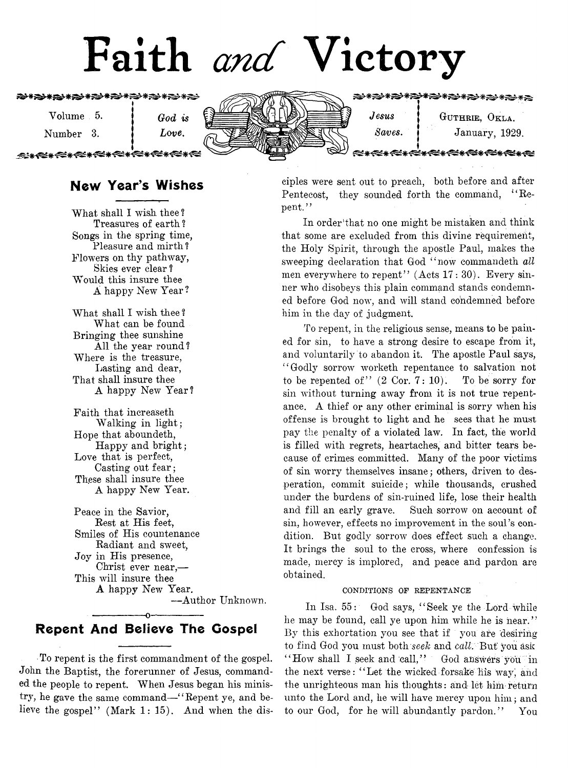# Faith *and* Victory

**₩₹**€€₩∕€₹<del>∕€</del>₩∕€₩€€∗€€∗€€∗€€ *s*

> Volume 5.  $\int$  *God is* Number 3. **I** Love.

≈∗≪∗≪∗≪∗

ærære



**★★★★★★★★★★★★★★★★**★★

*Jesus* | **Guthrie, Okla.** *Saves.* **January**, 1929.

# New Year's Wishes

What shall I wish thee? Treasures of earth ? Songs in the spring time, Pleasure and mirth ? Flowers on thy pathway, Skies ever clear ? Would this insure thee A happy New Year?

What shall I wish thee ? What can be found Bringing thee sunshine All the year round ? Where is the treasure, Lasting and dear, That shall insure thee A happy New Year?

Faith that increaseth Walking in light; Hope that aboundeth, Happy and bright; Love that is perfect, Casting out fear; These shall insure thee A happy New Year.

Peace in the Savior, Rest at His feet, Smiles of His countenance Radiant and sweet, Joy in His presence, Christ ever near,— This will insure thee A happy New Year. — Author Unknown.

# ------------------------ o------------------------ Repent And Believe The Gospel

To repent is the first commandment of the gospel. John the Baptist, the forerunner of Jesus, commanded the people to repent. When Jesus began his ministry, he gave the same command— " Repent ye, and believe the gospel" (Mark 1: 15). And when the dis-

ciples were sent out to preach, both before and after Pentecost, they sounded forth the command, "Repent."

In order'that no one might be mistaken and think that some are excluded from this divine requirement, the Holy Spirit, through the apostle Paul, makes the sweeping declaration that God " now commandeth *all* men everywhere to repent" (Acts 17: 30). Every sinner who disobeys this plain command stands condemned before God now, and will stand condemned before him in the day of judgment.

To repent, in the religious sense, means to be pained for sin, to have a strong desire to escape from it, and voluntarily to abandon it. The apostle Paul says, " Godly sorrow worketh repentance to salvation not to be repented of"  $(2 \text{ Cor. } 7: 10)$ . To be sorry for sin without turning away from it is not true repentance. A thief or any other criminal is sorry when his offense is brought to light and he sees that he must pay the penalty of a violated law. In fact, the world is filled with regrets, heartaches, and bitter tears because of crimes committed. Many of the poor victims of sin worry themselves insane; others, driven to desperation, commit suicide; while thousands, crushed under the burdens of sin-ruined life, lose their health and fill an early grave. Such sorrow on account of sin, however, effects no improvement in the soul's condition. But godly sorrow does effect such a change. It brings the soul to the cross, where confession is made, mercy is implored, and peace and pardon are obtained.

#### CONDITIONS OF REPENTANCE

In Isa. 55: God says, " Seek ye the Lord while he may be found, call ye upon him while he is near."' By this exhortation you see that if you are desiring to find God you must both seek and call. But you ask " How shall I seek and call," God answers you in the next verse: " Let the wicked forsake liis way; and the unrighteous man his thoughts: and let him return unto the Lord and, he will have mercy upon him; and to our God, for he will abundantly pardon." You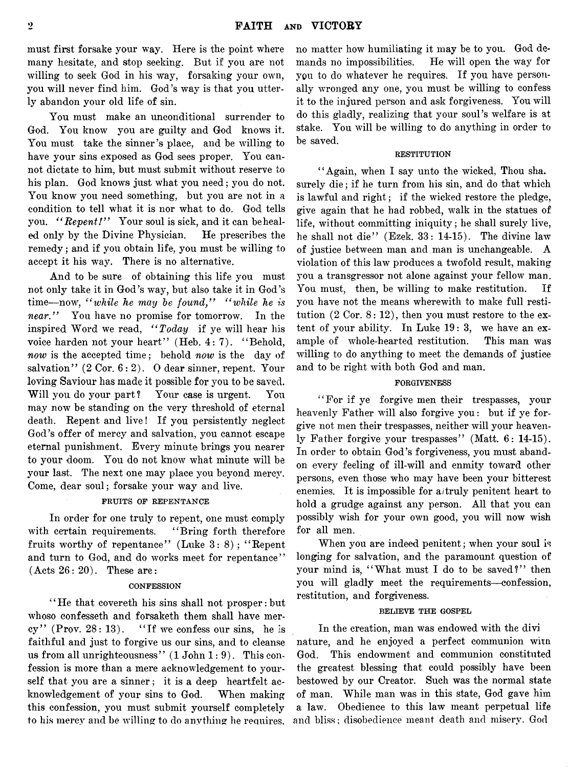must first forsake your way. Here is the point where many hesitate, and stop seeking. But if you are not willing to seek God in his way, forsaking your own, you will never find him. God's way is that you utterly abandon your old life of sin.

You must make an unconditional surrender to God. You know you are guilty and God knows it. You must take the sinner's place, and be willing to have your sins exposed as God sees proper. You cannot dictate to him, but must submit without reserve to his plan. God knows just what you need; you do not. You know you need something, but you are not in a condition to tell what it is nor what to do. God tells you. *" Repent!"* Your soul is sick, and it can be healed only by the Divine Physician. He prescribes the remedy; and if you obtain life, you must be willing to accept it his way. There is no alternative.

And to be sure of obtaining this life you must not only take it in God's way, but also take it in God's time—now, "while he may be found," "while he is *near."* You have no promise for tomorrow. In the inspired Word we read, *" Today* if ye will hear his voice harden not your heart" (Heb. 4: 7). "Behold, *now* is the accepted time; behold *now* is the day of salvation"  $(2 \text{ Cor. } 6:2)$ . O dear sinner, repent. Your loving Saviour has made it possible for you to be saved. Will you do your part? Your case is urgent. You may now be standing on the very threshold of eternal death. Repent and live! If you persistently neglect God's offer of mercy and salvation, you cannot escape eternal punishment. Every minute brings you nearer to your doom. You do not know what minute will be your last. The next one may place you beyond mercy. Come, dear soul; forsake your way and live.

#### FRUITS OF REPENTANCE

In order for one truly to repent, one must comply with certain requirements. "Bring forth therefore fruits worthy of repentance" (Luke 3:8); " Repent and turn to God, and do works meet for repentance"  $(Aets 26: 20)$ . These are:

#### **CONFESSION**

"He that covereth his sins shall not prosper: but whoso confesseth and forsaketh them shall have mercy" (Prov.  $28:13$ ). "If we confess our sins, he is faithful and just to forgive us our sins, and to cleanse us from all unrighteousness"  $(1$  John  $1:9)$ . This confession is more than a mere acknowledgement to yourself that you are a sinner; it is a deep heartfelt acknowledgement of your sins to God. When making this confession, you must submit yourself completely to his mercy and be willing to do anything he requires. no matter how humiliating it may be to you. God demands no impossibilities. He will open the way for you to do whatever he requires. If you have personally wronged any one, you must be willing to confess it to the injured person and ask forgiveness. You will do this gladly, realizing that your soul's welfare is at stake. You will be willing to do anything in order to be saved.

#### **RESTITUTION**

"Again, when I say unto the wicked, Thou sha. surely die; if he turn from his sin, and do that which is lawful and right; if the wicked restore the pledge, give again that he had robbed, walk in the statues of life, without committing iniquity; he shall surely live, he shall not die" (Ezek. 33: 14-15). The divine law of justice between man and man is unchangeable. A violation of this law produces a twofold result, making you a transgressor not alone against your fellow^ man. You must, then, be willing to make restitution. If you have not the means wherewith to make full restitution  $(2 \text{ Cor. } 8: 12)$ , then you must restore to the extent of your ability. In Luke 19: 3, we have an example of whole-hearted restitution. This man was willing to do anything to meet the demands of justice and to be right with both God and man.

#### FORGIVENESS

" For if ye forgive men their trespasses, your heavenly Father will also forgive you: but if ye forgive not men their trespasses, neither will your heavenly Father forgive your trespasses" (Matt. 6: 14-15). In order to obtain God's forgiveness, you must abandon every feeling of ill-will and enmity toward other persons, even those who may have been your bitterest enemies. It is impossible for ai truly penitent heart to hold a grudge against any person. All that you can possibly wish for your own good, you will now wish for all men.

When you are indeed penitent; when your soul is longing for salvation, and the paramount question of your mind is, "What must I do to be saved?" then you will gladly meet the requirements—confession, restitution, and forgiveness.

#### BELIEVE THE GOSPEL

In the creation, man was endowed with the divi nature, and he enjoyed a perfect communion witn God. This endowment and communion constituted the greatest blessing that could possibly have been bestowed by our Creator. Such was the normal state of man. While man was in this state, God gave him a law. Obedience to this law meant perpetual life and bliss; disobedience meant death and misery. God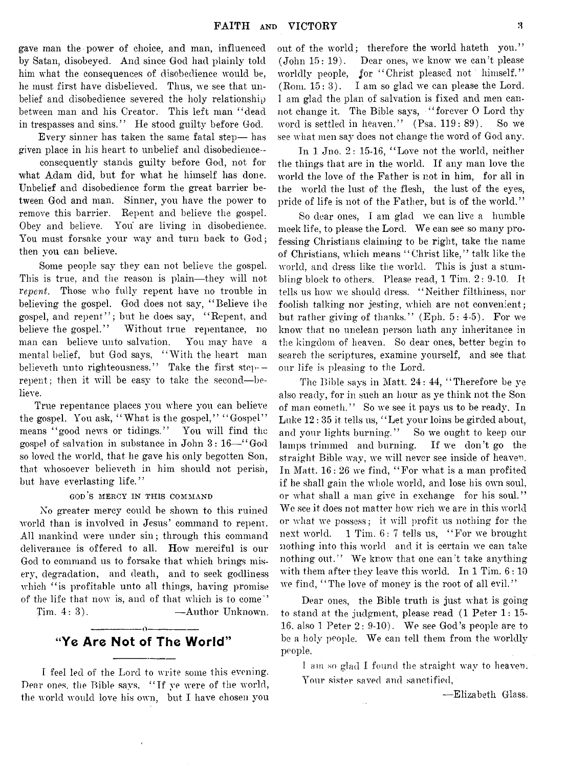gave man the power of choice, and man, influenced by Satan, disobeyed. And since God had plainly told him what the consequences of disobedience would be, he must first have disbelieved. Thus, we see that unbelief and disobedience severed the holy relationship between man and his Creator. This left man " dead in trespasses and sins." He stood guilty before God.

Every sinner has taken the same fatal step— has given place in his heart to unbelief and disobedience-

consequently stands guilty before God, not for what Adam did, but for what he himself has done. Unbelief and disobedience form the great barrier between God and man. Sinner, you have the power to remove this barrier. Repent and believe the gospel. Obey and believe. You are living in disobedience. You must forsake your way and turn back to God; then you can believe.

Some people say they can not believe the gospel. This is true, and the reason is plain— they will not *repent.* Those who fully repent have no trouble in believing the gospel. God does not say, " Believe the gospel, and repent"; but he does say, "Repent, and believe the gospel." Without true repentance, no man can believe unto salvation. You may have a mental belief, but God says, "With the heart man believeth unto righteousness." Take the first step- $$ repent; then it will be easy to take the second—believe.

True repentance places you where you can believe the gospel. You ask, "What is the gospel," "Gospel" means "good news or tidings." You will find the gospel of salvation in substance in John 3: 16— " God so loved the world, that he gave his only begotten Son, that whosoever believeth in him should not perish, but have everlasting life."

god's mercy in this command

No greater mercy could be shown to this ruined world than is involved in Jesus' command to repent. All mankind were under sin; through this command deliverance is offered to all. How merciful is our God to command us to forsake that which brings misery, degradation, and death, and to seek godliness which "is profitable unto all things, having promise of the life that now is, and of that which is to come" Tim. 4:3). — Author Unknown.

> ------------------------o------------------------ "Ye Are Not of The World"

I feel led of the Lord to write some this evening. Dear ones, the Bible says, " If ye were of the world, the world would love his own, but I have chosen you out of the world; therefore the world hateth you." (John 15: 19). Dear ones, we know we can't please worldly people, for "Christ pleased not himself." (Rom. 15: 3). I am so glad we can please the Lord. I am glad the plan of salvation is fixed and men cannot change it. The Bible says, "forever O Lord thy word is settled in heaven." (Psa. 119: 89). So we see what men say does not change the word of God any.

In 1 Jno. 2: 15-16, " Love not the world, neither the things that are in the world. If any man love the world the love of the Father is not in him, for all in the world the lust of the flesh, the lust of the eyes, pride of life is not of the Father, but is of the world."

So dear ones, I am glad we can live a humble meek life, to please the Lord. We can see so many professing Christians claiming to be right, take the name of Christians, which means " Christ like," talk like the world, and dress like the world. This is just a stumbling block to others. Please read, 1 Tim. 2: 9-10. It tells us how we should dress. " Neither filthiness, nor foolish talking nor jesting, which are not convenient; but rather giving of thanks." (Eph.  $5: 4.5$ ). For we know that no unclean person hath any inheritance in the kingdom of heaven. So dear ones, better begin to search the scriptures, examine yourself, and see that our life is pleasing to the Lord.

The Bible says in Matt. 24: 44, "Therefore be ye also ready, for in such an hour as ye think not the Son of man cometh." So we see it pays us to be ready. In Luke 12 : 35 it tells us, " Let your loins be girded about, and your lights burning." So we ought to keep our lamps trimmed and burning. If we don't go the straight Bible way, we will never see inside of heaven. In Matt. 16: 26 we find, " For what is a man profited if he shall gain the whole world, and lose his own soul, or what shall a man give in exchange for his soul." We see it does not matter how rich we are in this world or what we possess; it will profit us nothing for the next world. 1 Tim. 6: 7 tells us, " For we brought nothing into this world and it is certain we can take nothing out." We know that one can't take anything with them after they leave this world. In 1 Tim.  $6:10$ we find, "The love of money is the root of all evil."

Dear ones, the Bible truth is just what is going to stand at the judgment, please read (1 Peter 1: 15- 16. also 1 Peter  $2: 9-10$ . We see God's people are to be a holy people. We can tell them from the worldly people.

I am so glad I found the straight way to heaven. Your sister saved and sanctified,

—Elizabeth Glass.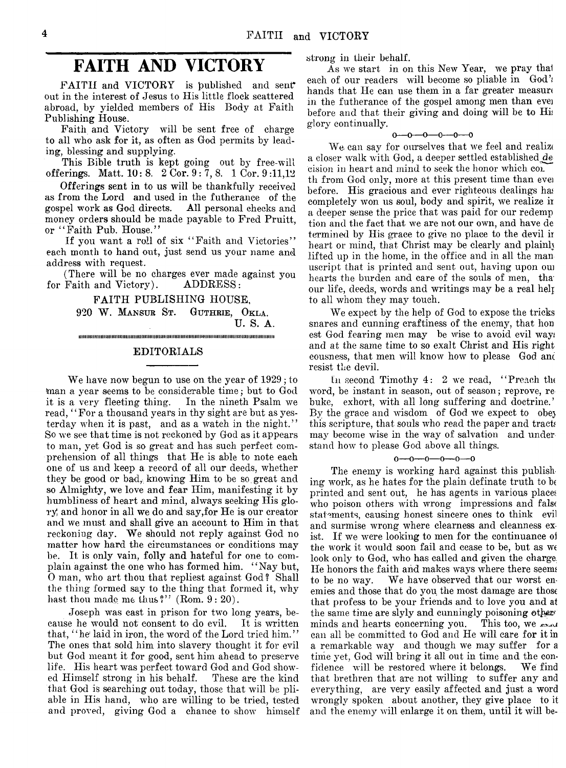# **FAITH AND VICTORY**

FAITH and VICTORY is published and sent\* out in the interest of Jesus to His little flock scattered abroad, by yielded members of His Body at Faith Publishing House.

Faith and Victory will be sent free of charge to all who ask for it, as often as God permits by leading, blessing and supplying.

This Bible truth is kept going out by free-will offerings. Matt. 10: 8. 2 Cor. 9: 7, 8. 1 Cor. 9 :11,12

Offerings sent in to us will be thankfully received as from the Lord and used in the futherance of the gospel work as God directs. All personal checks and gospel work as God directs. money orders should be made payable to Fred Pruitt, or "Faith Pub. House."

If you want a roll of six "Faith and Victories" each month to hand out, just send us your name and address with request.

(There will be no charges ever made against you for Faith and Victory). ADDRESS:

> FAITH PUBLISHING HOUSE, 920 W. **Mansur** St. **Guthrie, Okla.** U. S. A.

> > iiiu iiiiiiiiiitiiiiiiiiiiiiiiiiiiiiiiiiiiiiiiiiiiitiiitiiiiiiiiiiiiiiiitiiitiiiiiiiiiiiiiiiiitiiiiiiiiiiiiiiiiitiiiiiiiiiin

### EDITORIALS

We have now begun to use on the year of 1929; to (man a year seems to be considerable time*;* but to God it is a very fleeting thing. In the nineth Psalm we read, "For a thousand years in thy sight are but as yesterday when it is past, and as a watch in the night." So we see that time is not reckoned by God as it appears to man, yet God is so great and has such perfect comprehension of all things that He is able to note each one of us and keep a record of all our deeds, whether they be good or bad,, knowing Him to be so. great and so Almighty, we love and fear Him, manifesting it by humbliness of heart and mind, always seeking His glory; and honor in all we do and say,for He is our creator and we must and shall give an account to Him in that reckoning day. We should not reply against God no matter how hard the circumstances or conditions may be. It is only vain, folly and hateful for one to complain against the one who has formed him. " Nay but, 0 man, who art thou that repliest against God? Shall the thing formed say to the thing that formed it, why hast thou made me thus?" (Rom. 9: 20).

Joseph was cast in prison for two long years, because he would not consent to do evil. It is written that, "he' laid in iron, the word of the Lord tried him." The ones that sold him into slavery thought it for evil but God meant it for good, sent him ahead to preserve life. His heart was perfect toward God and God showed Himself strong in his behalf. These are the kind that God is searching out today, those that will be pliable in His hand, who are willing to be tried, tested and proved, giving God a chance to show himself

strong in their behalf.

As we start in on this New Year, we pray thal each of our readers will become so pliable in God's hands that He can use them in a far greater measure in the futherance of the gospel among men than ever before and that their giving and doing will be to Hi*i* glory continually.

#### $0 - 0 - 0 - 0 - 0$

We can say for ourselves that we feel and realize a closer walk with God, a deeper settled established^ cision in heart and mind to seek the honor which col. th from God only, more at this present time than evei before. His gracious and ever righteous dealings has completely won us soul, body and spirit, we realize in a deeper sense the price that was paid for our redemp tion and the fact that we are not our own, and have de termined by His grace to give no place to the devil ir heart or mind, that Christ may be clearly and plainly lifted up in the home, in the office and in all the man useript that is printed and sent out, having upon oui hearts the burden and care of the souls of men, thaour life, deeds, words and writings may be a real helj to all whom they may touch.

We expect by the help of God to expose the tricks snares and cunning craftiness of the enemy, that hon est God fearing men may be wise to avoid evil way; and at the same time to so exalt Christ and His right eousness, that men will know how to please God anc resist the devil.

In second Timothy 4: 2 we read, "Preach the word, be instant in season, out of season; reprove, re buke, exhort, with all long suffering and doctrine.' By the grace and wisdom of God we expect to obey this scripture, that souls who read the paper and tracts may become wise in the way of salvation and under stand how to please God above all things.

 $0 - 0 - 0 - 0 - 0 - 0$ 

The enemy is working hard against this publishing work, as he hates for the plain defmate truth to be printed and sent out, he has agents in various places who poison others with wrong impressions and false statements, causing honest sincere ones to think evil and surmise wrong where clearness and cleanness exist. If we were looking to men for the continuance *oi* the work it would soon fail and cease to be, but as we look only to God, who has called and given the charge. He honors the faith and makes ways where there seems to be no way. We have observed that our worst enemies and those that do you the most damage are those that profess to be your friends and to love you and at the same time are slyly and cunningly poisoning other minds and hearts concerning you. This too, we say minds and hearts concerning you. can all be committed to God and He will care for it in a remarkable way and though we may suffer for a time yet, God will bring it all out in time and the confidence will be restored where it belongs. We find that brethren that are not willing to suffer any and everything, are very easily affected and just a word wrongly spoken about another, they give place to it and the enemy will enlarge it on them, until it will be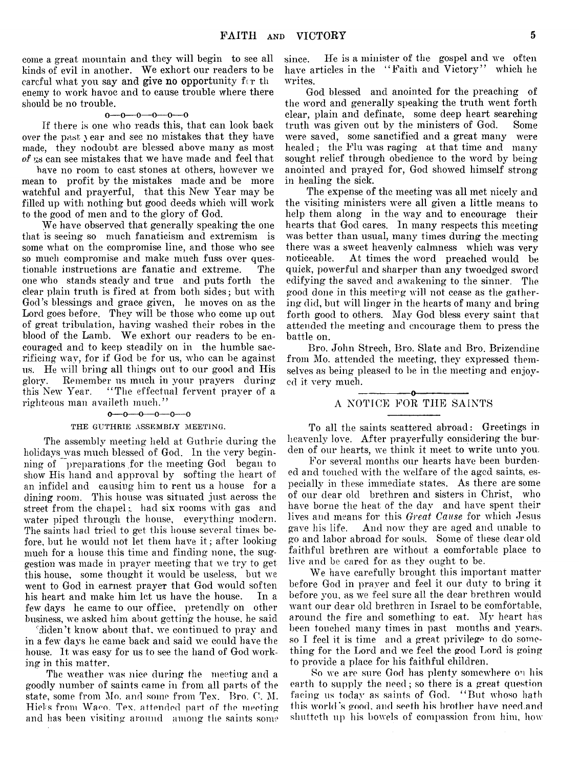come a great mountain and they will begin to see all kinds of evil in another. We exhort our readers to be careful what you say and give no opportunity for the enemy to work havoc and to cause trouble where there should be no trouble.

#### $0-0-0-0-0$

If there is one who reads this, that can look back over the past year and see no mistakes that they have made, they nodoubt are blessed above many as most of *7jls* can see mistakes that we have made and feel that

have no room to cast stones at others, however we mean to profit by the mistakes made and be more watchful and prayerful, that this New Year may be filled up with nothing but good deeds which will work to the good of men and to the glory of God.

We have observed that generally speaking the one that is seeing so much fanaticism and extremism is some what on the compromise line, and those who see so much compromise and make much fuss over questionable instructions are fanatic and extreme. The one who stands steady and true and puts forth the clear plain truth is fired at from both sides; but with God's blessings and grace given, he moves on as the Lord goes before. They will be those who come up out of great tribulation, having washed their robes in the blood of the Lamb. We exhort our readers to be encouraged and to keep steadily on in the humble sacrificing way, for if God be for us, who can be against us. He will bring all things out to our good and His glory. Remember us much in your prayers during this New Year. "The effectual fervent prayer of a righteous man availeth much."

#### $0 - 0 - 0 - 0 - 0$

#### THE GUTHRIE ASSEMBLY MEETING.

The assembly meeting held at Guthrie during the holidays was much blessed of God. In the very beginning of preparations for the meeting God began to show His hand and approval by softing the heart of an infidel and causing him to rent us a house for a dining room. This house was situated just across the street from the chapel; had six rooms with gas and water piped through the house, everything modern. The saints had tried to get this house several times before, but he would not let them have it ; after looking much for a house this time and finding none, the suggestion was made in prayer meeting that we try to get this house, some thought it would be useless, but we went to God in earnest prayer that God would soften<br>his heart and make him let us have the house. In a his heart and make him let us have the house. few days he came to our office, pretendly on other business, we asked him about getting the house, he said

'diden't know about that, we continued to pray and in a few days he came back and said we could have the house. It was easy for us to see the hand of God working in this matter.

The weather was nice during the meeting and a goodly number of saints came in from all parts of the state, some from Mo. and some from Tex. Bro. 0. M. Hicks from Waco. Tex. attended part of the meeting and has been visiting around among the saints some

since. He is a minister of the gospel and we often have articles in the "Faith and Victory" which he writes.

God blessed and anointed for the preaching of the word and generally speaking the truth went forth clear, plain and definate, some deep heart searching truth was given out by the ministers of God. Some were saved, some sanctified and a great many were healed; the Flu was raging at that time and many sought relief through obedience to the word by being anointed and prayed for, God showed himself strong in healing the sick.

The expense of the meeting was all met nicely and the visiting ministers were all given a little means to help them along in the way and to encourage their hearts that God cares. In many respects this meeting was better than usual, many times during the meeting there was a sweet heavenly calmness which was very noticeable. At times the word preached would be quick, powerful and sharper than any twoedged sword edifying the saved and awakening to the sinner. The good done in this meeting will not cease as the gathering did, but will linger in the hearts of many and bring forth good to others. May God bless every saint that attended the meeting and encourage them to press the battle on.

Bro. John Strech, Bro. Slate and Bro. Brizendine from Mo. attended the meeting, they expressed themselves as being pleased to be in the meeting and enjoyed it very much.

#### ------------------------o------------------------ A NOTICE FOR THE SAINTS

To all the saints scattered abroad: Greetings in heavenly love. After prayerfully considering the burden of our hearts, we think it meet to write unto you.

For several months our hearts have been burdened and touched with the welfare of the aged saints, especially in these immediate states. As there are some of our dear old brethren and sisters in Christ, who have borne the heat of the day and have spent their lives arid means for this *Great Cause* for which Jesus gave his life. And now they are aged and unable to go and labor abroad for souls. Some of these dear old faithful brethren are without a comfortable place to live and be cared for as they ought to be.

We have carefully brought this important matter before God in prayer and feel it our duty to bring it before you, as we feel sure all the dear brethren would want our dear old brethren in Israel to be comfortable, around the fire and something to eat. My heart has been touched many times in past months and years, so I feel it is time and a great privilege to do something for the Lord and we feel the good Lord is going to provide a place for his faithful children.

So we are sure God has plenty somewhere on liis earth to supply the need; so there is a great question facing us today as saints of God. " But whoso hath this world's good, and seeth his brother have need.and shutteth up his bowels of compassion from him, how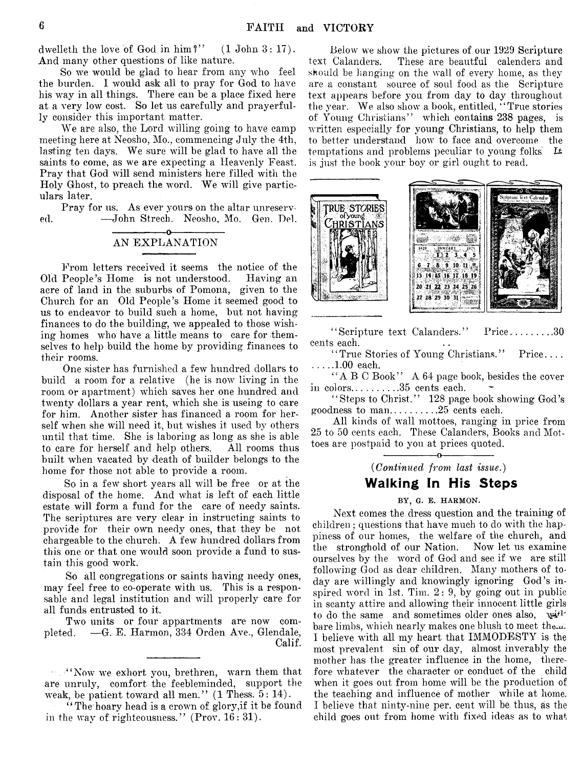dwelleth the love of God in him?" (1 John 3: 17). And many other questions of like nature.

So we would be glad to hear from any who feel the burden. I would ask all to pray for God to have his way in all things. There can be a place fixed here at a very low cost. So let us carefully and prayerfully consider this important matter.

We are also, the Lord willing going to have camp meeting here at Neosho, Mo., commencing July the 4th, lasting ten days. We sure will be glad to have all the saints to come, as we are expecting a Heavenly Feast. Pray that God will send ministers here filled with the Holy Ghost, to preach the word. We will give particulars later.

Pray for us. As ever yours on the altar unreserved. — John Strech. Neosho, Mo. Gen. Del.

#### ------------------------ o------------------------ AN EXPLANATION

From letters received it seems the notice of the Old People's Home is not understood. Having an acre of land in the suburbs of Pomona, given to the Church for an Old People's Home it seemed good to us to endeavor to build such a home, but not having finances to do the building, we appealed to those wishing homes who have a little means to care for themselves to help build the home by providing finances to their rooms.

One sister has furnished a few hundred dollars to build a room for a relative (he is now living in the room or apartment) which saves her one hundred and twenty dollars a year rent, which she is useing to care for him. Another sister has financed a room for herself when she will need it, but wishes it used by others until that time. She is laboring as long as she is able to care for herself and help others. All rooms thus built when vacated by death of builder belongs to the home for those not able to provide a room.

So in a few short years all will be free or at the disposal of the home. And what is left of each little estate will form a fund for the care of needy saints. The scriptures are very clear in instructing saints to provide for their own needy ones, that they be not chargeable to the church. A few hundred dollars from this one or that one would soon provide a fund to sustain this good work.

So all congregations or saints having needy ones, may feel free to co-operate with us. This is a responsable and legal institution and will properly care for all funds entrusted to it.

Two units or four appartments are now completed. — G. E. Harmon, 334 Orden Ave., Glendale, Calif.

Below we show the pictures of our 1929 Scripture text Calanders. These are beautful calenders and should be hanging on the wall of every home, as they are a constant source of soul food as the Scripture text appears before you from day to day throughout the year. We also show a book, entitled, " True stories of Young Christians" which contains 238 pages, is written especially for young Christians, to help them to better understand how to face and overcome the temptations and problems peculiar to young folks.  $\mathbf{H}$ is just the book your boy or girl ought to read.



"Seripture text Calanders." Price.........30 cents each.

"True Stories of Young Christians." Price.... .....1.00 each.

"A B C Book" A 64 page book, besides the cover in colors... $\dots$ ........35 cents each.

" Steps to Christ." 128 page book showing God's goodness to man... $\dots \dots .25$  cents each.

All kinds of wall mottoes, ranging in price from 25 to 50 cents each. These Calanders, Books and Mottoes are postpaid to you at prices quoted.

> ------------------------o------------------------ *(Continued from last issue.)*

# Walking In His Steps

#### BY, G. E. HARMON.

Next comes the dress question and the training of children; questions that have much to do with the happiness of our homes, the welfare of the church, and the stronghold of our Nation. Now let us examine ourselves by the word of God and see if we are still following God as dear children. Many mothers of today are willingly and knowingly ignoring God's inspired word in 1st. Tim. 2: 9, by going out in public in scanty attire and allowing their innocent little girls to do the same and sometimes older ones also,  $w^{i+1}$ bare limbs, which nearly makes one blush to meet them. I believe with all my heart that IMMODESTY is the most prevalent sin of our day, almost inverably the mother has the greater influence in the home, therefore whatever the character or conduct of the child when it goes out from home will be the production of the teaching and influence of mother while at home. I believe that ninty-nine per. cent will be thus, as the child goes out from home with fixed ideas as to what

<sup>&</sup>quot; "Now we exhort you, brethren, warn them that are unruly, comfort the feebleminded, support the weak, be patient toward all men." (1 Thess. 5: 14).

<sup>&</sup>quot;The hoary head is a crown of glory, if it be found in the way of righteousness." (Prov. 16: 31).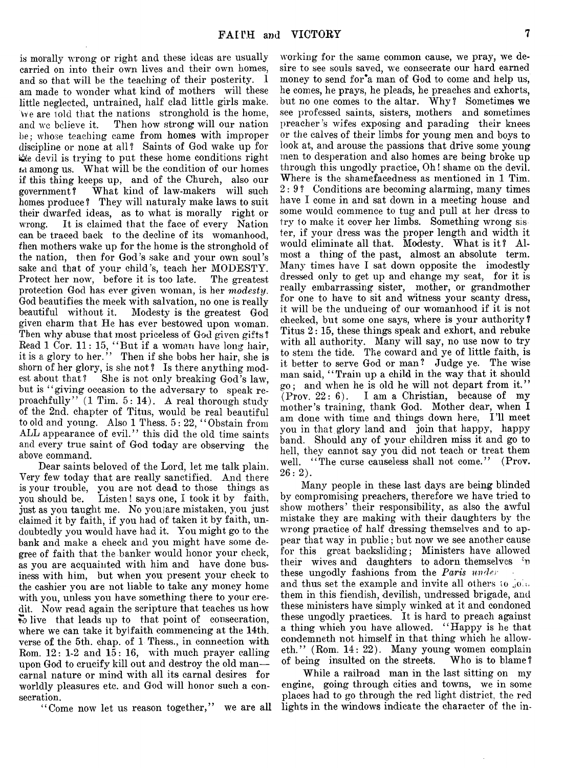is morally wrong or right and these ideas are usually carried on into their own lives and their own homes, and so that will be the teaching of their posterity. I am made to wonder what kind of mothers will these little neglected, untrained, half clad little girls make. Yve are told that the nations stronghold is the home, and we believe it. Then how strong will our nation be; whose teaching came from homes with improper discipline or none at all? Saints of God wake up for t&e devil is trying to put these home conditions right *tA* among us. What will be the condition of our homes if this thing keeps up, and of the Church, also our government? What kind of law-makers will such homes produce ? They will naturaly make laws to suit their dwarfed ideas, as to what is morally right or wrong. It is claimed that the face of every Nation can be traced back to the decline of its womanhood, *then* mothers wake up for the home is the stronghold of the nation, then for God's sake and your own soul's sake and that of your child's, teach her MODESTY. Protect her now, before it is too late. The greatest protection God has ever given woman, is her *modesty.* God beautifies the meek with salvation, no one is really beautiful without it. Modesty is the greatest God given charm that He has ever bestowed upon woman. Then why abuse that most priceless of God given gifts? Read 1 Cor. 11: 15, " But if a woman have long hair, it is a glory to her." Then if she bobs her hair, she is shorn of her glory, is she not ? Is there anything modest about that? She is not only breaking God's law, but is " giving occasion to the adversary to speak reproachfully"  $(1 \text{ Tim. } 5: 14)$ . A real thorough study of the 2nd. chapter of Titus, would be real beautiful to old and young. Also 1 Thess. 5: 22, " Obstain from ALL appearance of evil." this did the old time saints and every true saint of God today are observing the above command.

Dear saints beloved of the Lord, let me talk plain. Very few today that are really sanctified. And there is your trouble, you are not dead to those things as you should be. Listen! says one, I took it by faith, just as you taught me. No youiare mistaken, you just claimed it by faith, if you had of taken it by faith, undoubtedly you would have had it. You might go to the bank and make a check and you might have some degree of faith that the banker would honor your check, as you are acquainted with him and have done business with him, but when you present your check to the cashier you are not liable to take any money home with you, unless you have something there to your credit. Now read again the scripture that teaches us how 5) live that leads up to that point of consecration, where we can take it by faith commencing at the 14th. verse of the 5th. chap, of 1 Thess., in connection with Rom.  $12: 1-2$  and  $15: 16$ , with much prayer calling upon God to crucify kill out and destroy the old man carnal nature or mind with all its carnal desires for worldly pleasures etc. and God wall honor such a consecration.

"Come now let us reason together," we are all

working for the same common cause, we pray, we desire to see souls saved, we consecrate our hard earned money to send for'a man of God to come and help us, he comes, he prays, he pleads, he preaches and exhorts, but no one comes to the altar. Why ? Sometimes we see professed saints, sisters, mothers and sometimes preacher 's wifes exposing and parading their knees or the calves of their limbs for young men and boys to look at, and arouse the passions that drive some young men to desperation and also homes are being broke up through this ungodly practice, Oh! shame on the devil. Where is the shamefacedness as mentioned in 1 Tim. 2:9? Conditions are becoming alarming, many times have I come in and sat down in a meeting house and some would commence to tug and pull at her dress to try to make it cover her limbs. Something wrong sis ter, if your dress was the proper length and width it would eliminate all that. Modesty. What is it? Almost a thing of the past, almost an absolute term. Many times have I sat down opposite the imodestly dressed only to get up and change my seat, for it is really embarrassing sister, mother, or grandmother for one to have to sit and witness your scanty dress, it will be the undueing of our womanhood if it is not checked, but some one says, where is your authority ? Titus 2:15, these things speak and exhort, and rebuke with all authority. Many will say, no use now to try to stem the tide. The coward and ye of little faith, is it better to serve God or man? Judge ye. The wise man said, "Train up a child in the way that it should go; and when he is old he will not depart from it."  $(Prov. 22: 6)$ . I am a Christian, because of my mother's training, thank God. Mother dear, when I am done with time and things down here, I'll meet you in that glory land and join that happy, happy band. Should any of your children miss it and go to hell, they cannot say you did not teach or treat them well. "The curse causeless shall not come." (Prov.  $26: 2$ ).

Many people in these last days are being blinded by compromising preachers, therefore we have tried to show mothers' their responsibility, as also the awful mistake they are making with their daughters by the wrong practice of half dressing themselves and to appear that way in public; but now we see another cause for this great backsliding; Ministers have allowed their wives and daughters to adorn themselves 'n these ungodly fashions from the *Paris under* and thus set the example and invite all others to  $.01$ . them in this fiendish, devilish, undressed brigade, and these ministers have simply winked at it and condoned these ungodly practices. It is hard to preach against a thing which you have allowed. " Happy is he that condemneth not himself in that thing which he alloweth." (Rom. 14: 22). Many young women complain<br>of being insulted on the streets. Who is to blame? of being insulted on the streets.

While a railroad man in the last sitting on my engine, going through cities and towns, we in some places had to go through the red light district, the red lights in the windows indicate the character of the in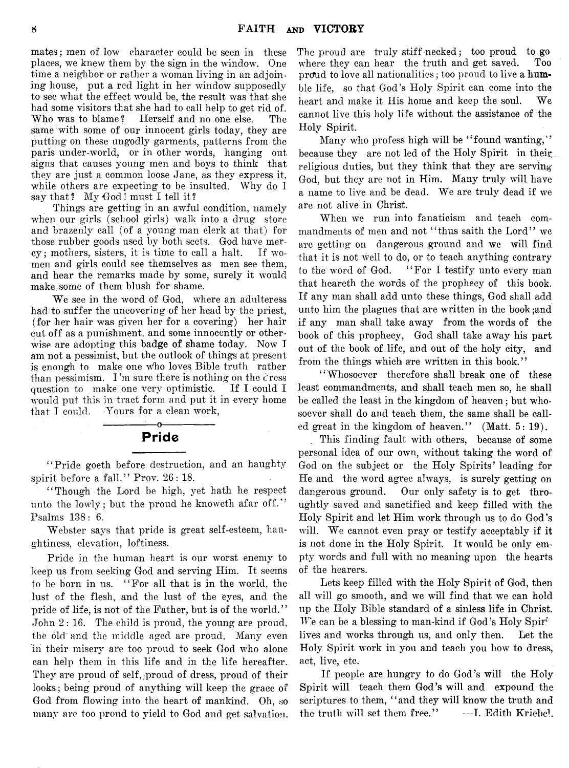mates; men of low character could be seen in these places, we knew them by the sign in the window. One time a neighbor or rather a woman living in an adjoining house, put a red light in her window supposedly to see what the effect would be, the result was that she had some visitors that she had to call help to get rid of.<br>Who was to blame? Herself and no one else. The Herself and no one else. The same with some of our innocent girls today, they are putting on these ungodly garments, patterns from the paris under-world, or in other words, hanging out signs that causes young men and boys to think that they are just a common loose Jane, as they express it, while others are expecting to be insulted. Why do I say that? My God! must I tell it?

Things are getting in an awful condition, namely when our girls (school girls) walk into a drug store and brazenly call (of a young man clerk at that) for those rubber goods used by both sects. God have mer $cy$ ; mothers, sisters, it is time to call a halt. If women and girls could see themselves as men see them, and hear the remarks made by some, surely it would make some of them blush for shame.

We see in the word of God, where an adulteress had to suffer the uncovering of her head by the priest, (for her hair was given her for a covering) her hair cut off as a punishment, and some innocently or otherwise are adopting this badge of shame today. Now T am not a pessimist, but the outlook of things at present is enough to make one who loves Bible truth rather than pessimism. I'm sure there is nothing on the cress question to make one very optimistic. If I could I would put this in tract form and put it in every home that I could. Yours for a clean work,

# -o-Pride

"Pride goeth before destruction, and an haughty spirit before a fall." Prov. 26: 18.

" Though the Lord be high, yet hath he respect unto the lowly; but the proud he knoweth afar off." Psalms 138: 6.

Webster says that pride is great self-esteem, haughtiness, elevation, loftiness.

Pride in the human heart is our worst enemy to keep us from seeking God and serving Him. It seems to be born in us. " For all that is in the world, the lust of the flesh, and the lust of the eyes, and the pride of life, is not of the Father, but is of the world." John 2: 16. The child is proud, the young are proud, the old and the middle aged are proud. Many even in their misery are too proud to seek God who alone can help them in this life and in the life hereafter. They are proud of self, ,proud of dress, proud of their looks; being proud of anything will keep the grace of God from flowing into the heart of mankind. Oh, so many are too proud to yield to God and get salvation. The proud are truly stiff-necked; too proud to go where they can hear the truth and get saved. proud to love all nationalities; too proud to live a humble life, so that God's Holy Spirit can come into the heart and make it His home and keep the soul. We cannot live this holy life without the assistance of the Holy Spirit.

Many who profess high will be "found wanting," because they are not led of the Holy Spirit in their religious duties, but they think that they are serving God, but they are not in Him. Many truly will have a name to live and be dead. We are truly dead if we are not alive in Christ.

When we run into fanaticism and teach commandments of men and not "thus saith the Lord" we are getting on dangerous ground and we will find that it is not well to do, or to teach anything contrary to the word of God. " For I testify unto every man that heareth the words of the prophecy of this book. If any man shall add unto these things, God shall add unto him the plagues that are written in the book ;and if any man shall take away from the words of the book of this prophecy, God shall take away his part out of the book of life, and out of the holy city, and from the things which are written in this book."

" Whosoever therefore shall break one of these least commandments, and shall teach men so, he shall be called the least in the kingdom of heaven; but whosoever shall do and teach them, the same shall be called great in the kingdom of heaven." (Matt. 5: 19).

This finding fault with others, because of some personal idea of our own, without taking the word of God on the subject or the Holy Spirits' leading for He and the word agree always, is surely getting on dangerous ground. Our only safety is to get throughtly saved and sanctified and keep filled with the Holy Spirit and let Him work through us to do God's will. We cannot even pray or testify acceptably if it is not done in the Holy Spirit. It would be only empty words and full with no meaning upon the hearts of the hearers.

Lets keep filled with the Holy Spirit of God, then all will go smooth, and we will find that we can hold up the Holy Bible standard of a sinless life in Christ. We can be a blessing to man-kind if God's Holy Spir<sup>t-</sup> lives and works through us, and only then. Let the Holy Spirit work in you and teach you how to dress, act, live, etc.

If people are hungry to do God's will the Holy Spirit will teach them God's will and expound the scriptures to them, "and they will know the truth and the truth will set them free." —I. Edith Kriebel.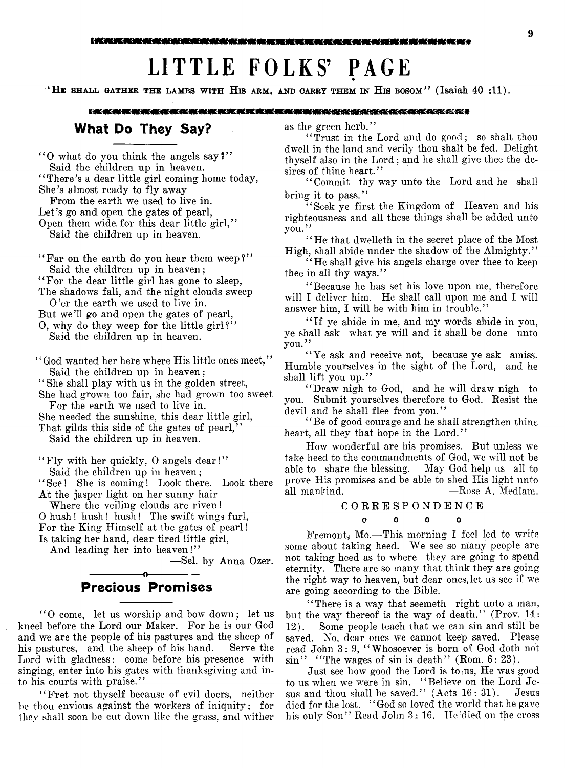# **LITTLE FOLKS' PAGE**

**' He shall gather the lambs with His arm, and carry them in His bosom"** (Isaiah 40 sll).

#### (我换换是最是是最最美的更换的英美的现在的最高级更多的是是我的的人的人的的父亲的父亲

# What Do They Say?

" O what do you think the angels say?" Said the children up in heaven.

"There's a dear little girl coming home today, She's almost ready to fly away

From the earth we used to live in. Let's go and open the gates of pearl,

Open them wide for this dear little girl," Said the children up in heaven.

" Far on the earth do you hear them weep?" Said the children up in heaven;

" For the dear little girl has gone to sleep,

The shadows fall, and the night clouds sweep

0 'er the earth we used to live in.

But we'll go and open the gates of pearl,

0, why do they weep for the little girl?" Said the children up in heaven.

' ' God wanted her here where His little ones meet, ' ' Said the children up in heaven;

' ' She shall play with us in the golden street,

She had grown too fair, she had grown too sweet For the earth we used to live in.

She needed the sunshine, this dear little girl,

That gilds this side of the gates of pearl,"

Said the children up in heaven.

' ' Fly with her quickly, 0 angels dear! ' ' Said the children up in heaven;

"See! She is coming! Look there. Look there At the jasper light on her sunny hair

Where the veiling clouds are riven!

0 hush! hush ! hush! The swift wings furl, For the King Himself at the gates of pearl! Is taking her hand, dear tired little girl,

And leading her into heaven!"

— Sel. by Anna Ozer.

## -----------------o----------------------- Precious Promises

' ' 0 come, let us worship and bow down; let us kneel before the Lord our Maker. For he is our God and we are the people of his pastures and the sheep of his pastures, and the sheep of his hand. Serve the Lord with gladness: come before his presence with singing, enter into his gates with thanksgiving and into his courts with praise."

" Fret not thyself because of evil doers, neither be thou envious against the workers of iniquity; for they shall soon be cut down like the grass, and wither as the green herb."

" Trust in the Lord and do good; so shalt thou dwell in the land and verily thou shalt be fed. Delight thyself also in the Lord; and he shall give thee the desires of thine heart."

' ' Commit thy way unto the Lord and he shall bring it to pass."

" Seek ye first the Kingdom of Heaven and his righteousness and all these things shall be added unto you."

' ' He that dwelleth in the secret place of the Most High, shall abide under the shadow of the Almighty."

" He shall give his angels charge over thee to keep thee in all thy ways."

" Because he has set his love upon me, therefore will I deliver him. He shall call upon me and I will answer him, I will be with him in trouble."

" If ye abide in me, and my words abide in you, ye shall ask what ye will and it shall be done unto you."

"Ye ask and receive not, because ye ask amiss. Humble yourselves in the sight of the Lord, and he shall lift you up."

" Draw nigh to God, and he will draw nigh to you. Submit yourselves therefore to God. Resist the devil and he shall flee from you."

" Be of good courage and he shall strengthen thine heart, all they that hope in the Lord."

How wonderful are his promises. But unless we take heed to the commandments of God, we will not be able to share the blessing. May God help us all to prove His promises and be able to shed His light unto all mankind. — Rose A. Medlam.

#### CORRESPONDENCE

#### 0 0 0 0

Fremont, Mo.-This morning I feel led to write some about taking heed. We see so many people are not taking heed as to where they are going to spend eternity. There are so many that think they are going the right way to heaven, but dear ones, let us see if we are going according to the Bible.

"There is a way that seemeth right unto a man, but the way thereof is the way of death." (Prov. 14: 12). Some people teach that we can sin and still be saved. No, dear ones we cannot keep saved. Please read John 3: 9, " Whosoever is born of God doth not  $\sin$ " "The wages of sin is death" (Rom. 6: 23).

Just see how good the Lord is to us, He was good to us when we were in sin. "Believe on the Lord Je-<br>sus and thou shall be saved." (Acts  $16:31$ ). Jesus sus and thou shall be saved."  $(Aets 16: 31)$ . died for the lost. "God so loved the world that he gave his only Son" Read John 3: 16. He'died on the cross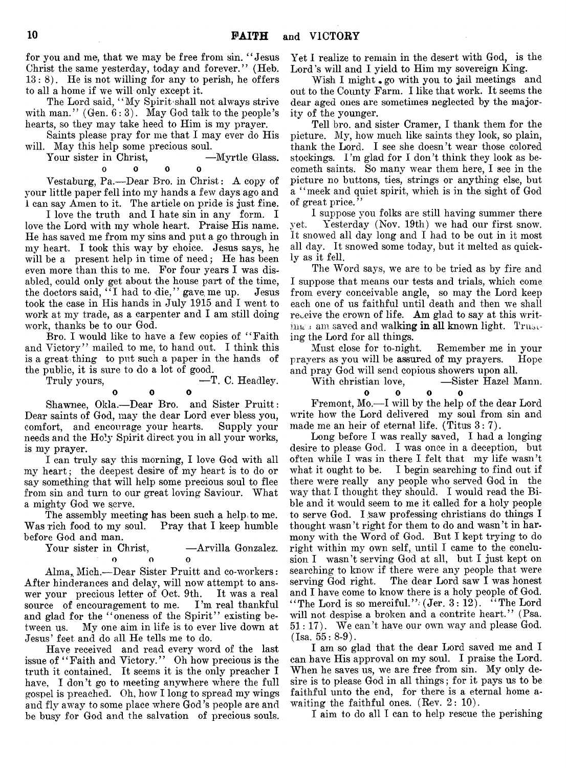for you and me, that we may be free from sin. " Jesus Christ the same yesterday, today and forever." (Heb. 13: 8). He is not willing for any to perish, he offers to all a home if we will only except it.

The Lord said, " My Spirit'shall not always strive with man."  $(Gen. 6:3)$ . May God talk to the people's hearts, so they may take heed to Him is my prayer.

Saints please pray for me that I may ever do His will. May this help some precious soul.

Your sister in Christ, — Myrtle Glass.

0 0 0 0

Vestaburg, Pa.— Dear Bro. in Christ: A copy of your little paper fell into my hands a few days ago and 1 can say Amen to it. The article on pride is just fine.

I love the truth and I hate sin in any form. I love the Lord with my whole heart. Praise His name. He has saved me from my sins and put a go through in my heart. I took this way by choice. Jesus says, he will be a present help in time of need; He has been even more than this to me. For four years I was disabled, could only get about the house part of the time, the doctors said, "I had to die," gave me up. Jesus took the case in His hands in July 1915 and I went to *work* at my trade, as a carpenter and I am still doing work, thanks be to our God.

Bro. I would like to have a few copies of "Faith" and Victory" mailed to me, to hand out. I think this is a great thing to put such a paper in the hands of the public, it is sure to do a lot of good.

Truly yours,  $\overline{\phantom{a}}$  -T. C. Headley.

0 0 0

Shawnee, Okla.— Dear Bro. and Sister Pruitt: Dear saints of God, may the dear Lord ever bless you, comfort, and encourage your hearts. Supply your needs and the Holy Spirit direct you in all your works, is my prayer.

I can truly say this morning, I love God with all my heart; the deepest desire of my heart is to do or say something that will help some precious soul to flee from sin and turn to our great loving Saviour. What a mighty God we serve.

The assembly meeting has been such a help to me. Was rich food to my soul. Pray that I keep humble before God and man.

Your sister in Christ,  $-A$ rvilla Gonzalez.  $\Omega$ o o o

Alma,, Mich.-—Dear Sister Pruitt and co-workers: After hinderances and delay, will now attempt to answer your precious letter of Oct. 9th. It was a real source of encouragement to me. I'm real thankful and glad for the "oneness of the Spirit" existing between us. My one aim in life is to ever live down at Jesus' feet and do all He tells me to do.

Have received and read every word of the last issue of "Faith and Victory." Oh how precious is the truth it contained. It seems it is the only preacher I have, I don't go to meeting anywhere where the full gospel is preached. Oh, how I long to spread my wings and fly away to some place where God's people are and be busy for God and the salvation of precious souls.

Yet I realize to remain in the desert with God, is the Lord's will and I yield to Him my sovereign King.

Wish I might, go with you to jail meetings and out to the County Farm. I like that work. It seems the dear aged ones are sometimes neglected by the majority of the younger.

Tell bro. and sister Cramer, I thank them for the picture. My, how much like saints they look, so plain, thank the Lord. I see she doesn't wear those colored stockings. I'm glad for I don't think they look as becometh saints. So many wear them here, I see in the picture no buttons, ties, strings or anything else, but a " meek and quiet spirit, which is in the sight of God of great price. ' '

I suppose you folks are still having summer there yet. Yesterday (Nov. 19th) we had our first snow. It snowed all day long and I had to be out in it most all day. It snowed some today, but it melted as quickly as it fell.

The Word says, we are to be tried as by fire and I suppose that means our tests and trials, which come from every conceivable angle, so may the Lord keep each one of us faithful until death and then we shall receive the crown of life. Am glad to say at this writing *i* am saved and walking in all known light. Trusting the Lord for all things.

Must close for to-night. Remember me in your prayers as you will be assured of my prayers. Hope and pray God wall send copious showers upon all.

With christian love,  $-$ Sister Hazel Mann.

0 0 0 0 Fremont, Mo.—I will by the help of the dear Lord write how the Lord delivered my soul from sin and made me an heir of eternal life. (Titus 3:7).

Long before I was really saved, I had a longing desire to please God. I was once in a deception, but often while I was in there I felt that my life wasn't what it ought to be. I begin searching to find out if there were really any people who served God in the way that I thought they should. I would read the Bible and it would seem to me it called for a holy people to serve God. I saw professing christians do things I thought wasn't right for them to do and wasn't in harmony with the Word of God. But I kept trying to do right within my own self, until I came to the conclusion I wasn't serving God at all, but I just kept on searching to know if there were any people that were serving God right. The dear Lord saw I was honest and I have come to know there is a holy people of God. "The Lord is so merciful.":  $(Jer. 3: 12)$ . "The Lord" will not despise a broken and a contrite heart." (Psa. 51: 17). We can't have our own way and please God.  $(Isa. 55: 8-9).$ 

I am so glad that the dear Lord saved me and I can have His approval on my soul. I praise the Lord. When he saves us, we are free from sin. My only desire is to please God in all things; for it pays us to be faithful unto the end, for there is a eternal home awaiting the faithful ones.  $(Rev. 2: 10)$ .

I aim to do all I can to help rescue the perishing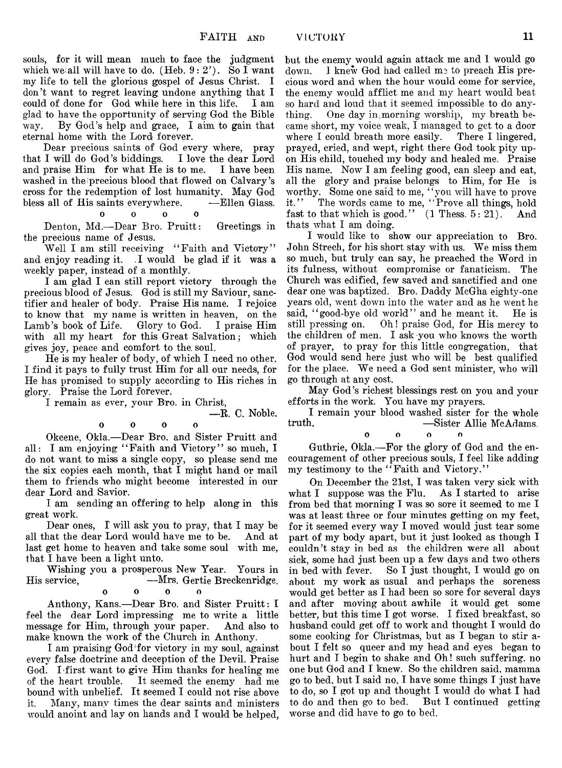— R. C. Noble.

souls, for it will mean much to face the judgment which we;all will have to do. (Heb.  $9 : 2'$ ). So I want my life to tell the glorious gospel of Jesus Christ. I don't want to regret leaving undone anything that I could of done for God while here in this life. I am glad to have the opportunity of serving God the Bible way. By God's help and grace, I aim to gain that eternal home with the Lord forever.

Dear precious saints of God every where, pray that I will do God's biddings. I love the dear Lord and praise Him for what He is to me. I have been washed in the'precious blood that flowed on Calvary's cross for the redemption of lost humanity. May God bless all of His saints everywhere. — Ellen Glass,

oooo

Denton, Md.— Dear Bro. Pruitt: Greetings in the precious name of Jesus.

Well I am still receiving "Faith and Victory" and enjoy reading it. I would be glad if it was a weekly paper, instead of a monthly.

I am glad I can still report victory through the precious blood of Jesus. God is still my Saviour, sanctifier and healer of body. Praise His name. I rejoice to know that my name is written in heaven, on the Lamb's book of Life. Glory to God. I praise Him with all my heart for this Great Salvation; which gives joy, peace and comfort to the. soul.

He is my healer of body, of which I need no other. I find it pays to fully trust Him for all our needs, for He has promised to supply according to His riches in glory. Praise the Lord forever.

I remain as ever, your Bro. in Christ,

$$
\begin{array}{cccc}\n0 & 0 & 0 & 0\n\end{array}
$$

Okeene, Okla.— Dear Bro. and Sister Pruitt and all: I am enjoying " Faith and Victory" so much, I do not want to miss a single copy, so please send me the six copies each month, that I might hand or mail them to friends who might become interested in our dear Lord and Savior.

I am sending an offering to help along in this great work.

Dear ones, I will ask you to pray, that I may be all that the dear Lord would have me to be. last get home to heaven and take some soul with me, that I have been a light unto.

Wishing you a prosperous New Year. Yours in<br>His service. — Mrs. Gertie Breckenridge. — Mrs. Gertie Breckenridge. oooo

Anthony, Kans.— Dear Bro. and Sister Pruitt: I feel the dear Lord impressing me to write a little message for Him, through your paper. And also to make known the work of the Church in Anthony.

I am praising God'for victory in my soul, against every false doctrine and deception of the Devil. Praise God. I first want to give Him thanks for healing me of the heart trouble. It seemed the enemy had me bound with unbelief. It seemed I could not rise above it, Many, many times the dear saints and ministers would anoint and lay on hands and I would be helped,

but the enemy would again attack me and 1 would go down. I knew God had called me to preach His precious word and when the hour would come for service, the enemy would afflict me and my heart would beat so hard and loud that it seemed impossible to do anything. One day in;morning worship, my breath became short, my voice weak, I managed to get to a door where I could breath more easily. There I lingered, prayed, cried, and wept, right there God took pity upon His child, touched my body and healed me. Praise His name. Now I am feeling good, can sleep and eat, all the glory and praise belongs to Him, for He is worthy. Some one said to me, " you will have to prove it," The words came to me, " Prove all things, hold fast to that which is good."  $(1$  Thess.  $5: 21$ ). And thats what I am doing.

I would like to show our appreciation to Bro. John Strech, for his short stay with us. We miss them so much, but truly can say, he preached the Word in its fulness, without compromise or fanaticism. The Church was edified, few saved and sanctified and one dear one was baptized. Bro. Daddy McGha eighty-one years old, went down into the water and as he went he said, "good-bye old world" and he meant it. He is<br>still pressing on. Oh! praise God, for His mercy to Oh! praise God, for His mercy to the children of men. I ask you who knows the worth of prayer, to pray for this little congregation, that God would send here just who will be best qualified for the place. We need a God sent minister, who will go through at any cost.

May God's richest blessings rest on you and your efforts in the work. You have my prayers.

I remain your blood washed sister for the whole<br>truth. ——Sister Allie McAdams -Sister Allie McAdams.

oooo

Guthrie, Okla.— For the glory of God and the encouragement of other precious souls, I feel like adding my testimony to the "Faith and Victory."

On December the 21st, I was taken very sick with what I suppose was the Flu. As I started to arise from bed that morning I was so sore it seemed to me I was at least three or four minutes getting on my feet, for it seemed every way I moved would just tear some part of my body apart, but it just looked as though I couldn't stay in bed as the children were all about sick, some had just been up a few days and two others<br>in bed with fever. So I just thought, I would go on So I just thought, I would go on about my work as usual and perhaps the soreness would get better as I had been so sore for several days and after moving about awhile it would get some better, but this time I got worse. I fixed breakfast, so husband could get off to work and thought I would do some cooking for Christmas, but as I began to stir about I felt so queer and my head and eyes began to hurt and I begin to shake and Oh! such suffering, no one but God and I knew. So the children said, mamma go to bed, but I said no, I have some things I just have to do, so I got up and thought I w^ould do what I had to do and then go to bed. But I continued getting worse and did have to go to bed.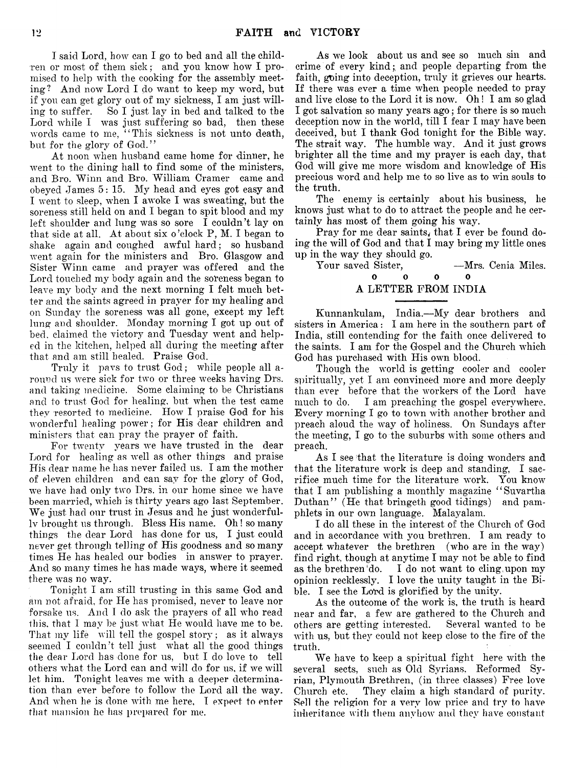I said Lord, how can I go to bed and all the children or most of them sick; and you know how I promised to help with the cooking for the assembly meeting? And now Lord I do want to keep my word, but if you can get glory out of my sickness, I am just willing to suffer. So I just lay in bed and talked to the Lord while I was just suffering so bad, then these words came to me, "This sickness is not unto death, but for the glory of God."

At noon when husband came home for dinner, he went to the dining hall to find some of the ministers, and Bro. Winn and Bro. William Cramer came and obeyed James 5: 15. My head and eyes got easy and I went to sleep, when I awoke I was sweating, but the soreness still held on and I began to spit blood and my left shoulder and lung was so sore I couldn't lay on that side at all. At about six o 'clock P, M. I began to shake again and coughed awful hard; so husband went again for the ministers and Bro. Glasgow and Sister Winn came and prayer was offered and the Lord touched my body again and the soreness began to leave my body and the next morning I felt much better and the saints agreed in prayer for my healing and on Sunday the soreness was all gone, except my left lung and shoulder. Monday morning I got up out of bed, claimed the victory and Tuesday went and helped in the kitchen, helped all during the meeting after that and am still healed. Praise God.

Truly it pavs to trust God; while people all around us were sick for two or three weeks having Drs. and taking medicine. Some claiming to be Christians and to trust God for healing, but when the test came they resorted to medicine. How I praise God for his wonderful healing power; for His dear children and ministers that can pray the prayer of faith.

For twenty years we have trusted in the dear Lord for healing as well as other things and praise His dear name he has never failed us. I am the mother of eleven children and can sav for the glory of God, we have had only two Drs. in our home since we have been married, which is thirty years ago last September. We just had our trust in Jesus and he just wonderfully brought us through. Bless His name. Oh! so many things the dear Lord has done for us, I just could never get through telling of His goodness and so many times He has healed our bodies in answer to prayer. And so many times he has made ways, where it seemed there was no way.

Tonight I am still trusting in this same God and am not afraid, for He has promised, never to leave nor forsake us. And I do ask the prayers of all who read this, that I may be just what He would have me to be. That my life will tell the gospel story; as it always seemed I couldn't tell just what all the good things the dear Lord has done for us, but I do love to tell others what the Lord can and will do for us, if we will let him. Tonight leaves me with a deeper determination than ever before to follow the Lord all the way. And when he is done with me here, I expect to enter that mansion he has prepared for me.

As we look about us and see so much sin and crime of every kind;, and people departing from the faith, going into deception, truly it grieves our hearts. If there was ever a time when people needed to pray and live close to the Lord it is now. Oh! I am so glad I got salvation so many years ago; for there is so much deception now in the world, till I fear I may have been deceived, but I thank God tonight for the Bible way. The strait way. The humble way. And it just grows brighter all the time and my prayer is each day, that God will give me more wisdom and knowledge of His precious word and help me to so live as to win souls to the truth.

The enemy is certainly about his business, he knows just what to do to attract the people and he certainly has most of them going his way.

Pray for me dear saints, that I ever be found doing the will of God and that I may bring my little ones up in the way they should go.

Your saved Sister, -Mrs. Cenia Miles.

#### 0 0 0 0 A LETTER FROM INDIA

Kunnankulam, India.— My dear brothers and sisters in America: I am here in the southern part of India, still contending for the faith once delivered to the saints. I am for the Gospel and the Church which God has purchased with His own blood.

Though the world is getting cooler and cooler spiritually, yet I am convinced more and more deeply than ever before that the workers of the Lord have much to do. I am preaching the gospel everywhere. Every morning I go to town with another brother and preach aloud the way of holiness. On Sundays after the meeting, I go to the suburbs with some others and preach.

As I see 'that the literature is doing wonders and that the literature work is deep and standing, I sacrifice much time for the literature work. You know that I am publishing a monthly magazine " Suvartha Duthan" (He that bringeth good tidings) and pamphlets in our own language. Malayalam.

I do all these in the interest of the Church of God and in accordance with you brethren. I am ready to accept whatever the brethren (who are in the way) find right, though at anytime I may not be able to find as the brethren'do. I do not want to cling upon my opinion recklessly. I love the unity taught in the Bible. I see the Lord is glorified by the unity.

As the outcome of the work is, the truth is heard near and far, a few are gathered to the Church and others are getting interested. Several wanted to be with us, but they could not keep close to the fire of the truth.

We have to keep a spiritual fight here with the several sects, such as Old Syrians, Reformed Syrian, Plymouth Brethren, (in three classes) Free love Church etc. They claim a high standard of purity. Sell the religion for a very low price and try to have inheritance with them anyhow and they have constant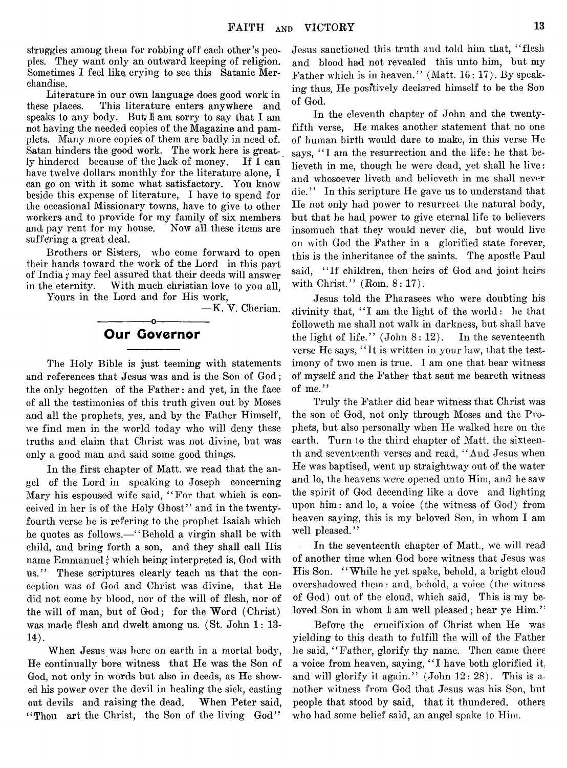struggles among them for robbing off each other's peoples. They want only an outward keeping of religion. Sometimes I feel like, crying to see this Satanic Merchandise.

Literature in our own language does good work in these places. This literature enters anywhere and speaks to any body. But I am sorry to say that I am not having the needed copies of the Magazine and pamplets. Many more copies of them are badly in need of. Satan hinders the good work. The work here is greatly hindered because of the Jack of money. If I can have twelve dollars monthly for the literature alone, I can go on with it some what satisfactory. You know beside this expense of literature, I have to spend for the occasional Missionary towns, have to give to other workers and to provide for my family of six members and pay rent for my house. Now all these items are suffering a great deal.

Brothers or Sisters, who come forward to open their hands toward the work of the Lord in this part of India; may feel assured that their deeds will answer in the eternity. With much christian love to you all. Yours in the Lord and for His work,

— K. V. Cherian.

# -----------------o------------------------ Our Governor

The Holy Bible is just teeming with statements and references that Jesus was and is the Son of God; the only begotten of the Father: and yet, in the face of all the testimonies of this truth given out by Moses and all the prophets, yes, and by the Father Himself, we find men in the world today who will deny these truths and claim that Christ was not divine, but was only a good man and said some good things.

In the first chapter of Matt, we read that the angel of the Lord in speaking to Joseph concerning Mary his espoused wife said, "For that which is conceived in her is of the Holy Ghost" and in the twentyfourth verse he is refering to the prophet Isaiah which he quotes as follows.—"Behold a virgin shall be with child, and bring forth a son, and they shall call His name Emmanuel*;* which being interpreted is, God with us." These scriptures clearly teach us that the conception was of God and Christ was divine, that He did not come by blood, nor of the will of flesh, nor of the will of man, but of God; for the Word (Christ) was made flesh and dwelt among us. (St. John 1: 13-  $14$ ).

When Jesus was here on earth in a mortal body, He continually bore witness that He was the Son of God, not only in words but also in deeds, as He showed his power over the devil in healing the sick, casting out devils and raising the dead. When Peter said, "Thou art the Christ, the Son of the living God"

Jesus sanctioned this truth and told him that, "flesh and blood had not revealed this unto him, but my Father which is in heaven." (Matt. 16: 17). By speaking thus, He positively declared himself to be the Son of God.

In the eleventh chapter of John and the twentyfifth verse, He makes another statement that no one of human birth would dare to make, in this verse He says, "I am the resurrection and the life: he that believeth in me, though he were dead, yet shall he live: and whosoever liveth and believeth in me shall never die." In this scripture He gave us to understand that He not only had power to resurrect the natural body, but that he had, power to give eternal life to believers insomuch that they would never die, but would live on with God the Father in a glorified state forever, this is the inheritance of the saints. The apostle Paul said, "If children, then heirs of God and joint heirs with Christ." (Rom. 8: 17).

Jesus told the Pharasees who were doubting his divinity that, "I am the light of the world: he that followeth me shall not walk in darkness, but shall have the light of life." (John 8: 12). In the seventeenth verse He says, " It is written in your law, that the testimony of two men is true. I am one that bear witness of myself and the Father that sent me beareth witness of me."

Truly the Father did bear witness that Christ was the son of God, not only through Moses and the Prophets, but also personally when He walked here on the earth. Turn to the third chapter of Matt, the sixteenth and seventeenth verses and read, " And Jesus when He was baptised, went up straightway out of the water and lo, the heavens were opened unto Him, and he saw the spirit of God decending like a dove and lighting upon him: and lo, a voice (the witness of God) from heaven saying, this is my beloved Son, in whom I am well pleased."

In the seventeenth chapter of Matt., we will read of another time when God bore witness that Jesus was His Son. " While he yet spake, behold, a bright cloud overshadowed them: and, behold, a voice (the witness of God) out of the cloud, which said, This is my beloved Son in whom I am well pleased; hear ye Him."

Before the crucifixion of Christ when He was yielding to this death to fulfill the will of the Father he said, "Father, glorify thy name. Then came there a voice from heaven, saying, " I have both glorified it. and will glorify it again." (John 12: 28). This is another witness from God that Jesus was his Son, but people that stood by said, that it thundered, others who had some belief said, an angel spake to Him.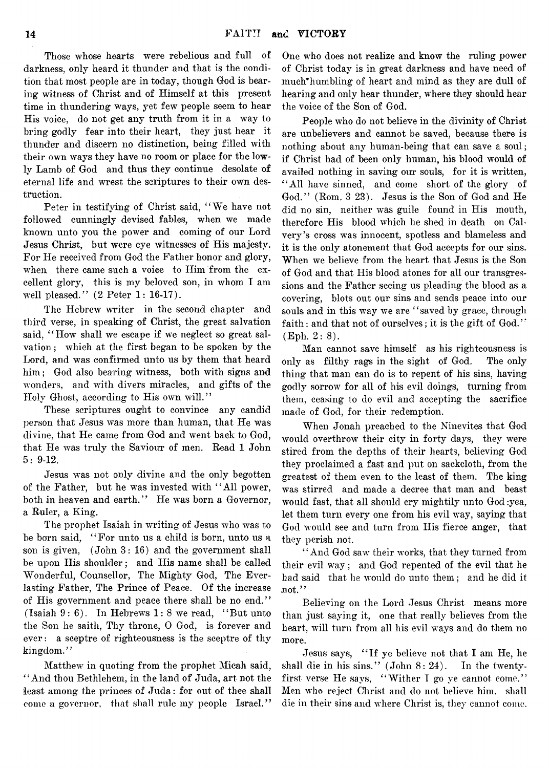Those whose hearts were rebelious and full of darkness, only heard it thunder and that is the condition that most people are in today, though God is bearing witness of Christ and of Himself at this present time in thundering ways, yet few people seem to hear His voice, do not get any truth from it in a way to bring godly fear into their heart, they just hear it thunder and discern no distinction, being filled with their own ways they have no room or place for the lowly Lamb of God and thus they continue desolate of eternal life and wrest the scriptures to their own destruction.

Peter in testifying of Christ said, " We have not followed cunningly devised fables, when we made known unto you the power and coming of our Lord Jesus Christ, but were eye witnesses of His majesty. For He received from God the Father honor and glory, when there came such a voice to Him from the excellent glory, this is my beloved son, in whom I am well pleased." (2 Peter 1: 16-17).

The Hebrew writer in the second chapter and third verse, in speaking of Christ, the great salvation said, "How shall we escape if we neglect so great salvation ; which at the first began to be spoken by the Lord, and was confirmed unto us by them that heard him; God also bearing witness, both with signs and wonders, and with divers miracles, and gifts of the Holy Ghost, according to His own will."

These scriptures ought to convince any candid person that Jesus was more than human, that He was divine, that He came from God and went back to God, that He was truly the Saviour of men. Read 1 John 5: 9-12.

Jesus was not only divine and the only begotten of the Father, but he was invested with " All power, both in heaven and earth." He was born a Governor, a Ruler, a King.

The prophet Isaiah in writing of Jesus who was to be born said, " For unto us a child is born, unto us a son is given, (John 3: 16) and the government shall be upon His shoulder; and His name shall be called Wonderful, Counsellor, The Mighty God, The Everlasting Father, The Prince of Peace. Of the increase of His government and peace there shall be no end." (Isaiah  $9:6$ ). In Hebrews  $1:8$  we read, "But unto the Son he saith, Thy throne, 0 God, is forever and ever: a sceptre of righteousness is the sceptre of thy kingdom."

Matthew in quoting from the prophet Micah said, " And thou Bethlehem, in the land of Juda, art not the least among the princes of Juda: for out of thee shall come a governor, that shall rule my people Israel."

One who does not realize and know the ruling power of Christ today is in great darkness and have need of much\*humbling of heart and mind as they are dull of hearing and only hear thunder, where they should hear the voice of the Son of God.

People who do not believe in the divinity of Christ are unbelievers and cannot be saved, because there is nothing about any human-being that can save a soul; if Christ had of been only human, his blood would of availed nothing in saving our souls, for it is written, " All have sinned, and come short of the glory of God." (Rom. 3 23). Jesus is the Son of God and He did no sin, neither was guile found in His mouth, therefore His blood which he shed in death on Calvery's cross was innocent, spotless and blameless and it is the only atonement that God accepts for our sins. When we believe from the heart that Jesus is the Son of God and that His blood atones for all our transgressions and the Father seeing us pleading the blood as a covering, blots out our sins and sends peace into our souls and in this way we are "saved by grace, through faith: and that not of ourselves; it is the gift of God." (Eph. 2:8).

Man cannot save himself as his righteousness is only as filthy rags in the sight of God. The only thing that man can do is to repent of his sins, having godly sorrow for all of his evil doings, turning from them, ceasing to do evil and accepting the sacrifice made of God, for their redemption.

When Jonah preached to the Ninevites that God would overthrow their city in forty days, they were stired from the depths of their hearts, believing God they proclaimed a fast and put on sackcloth, from the greatest of them even to the least of them. The king was stirred and made a decree that man and beast would fast, that all should cry mightily unto God:yea, let them turn every one from his evil way, saying that God would see and turn from His fierce anger, that they perish not.

' ' And God saw their works, that they turned from their evil way; and God repented of the evil that he had said that he would do unto them; and he did it not."

Believing on the Lord Jesus Christ means more than just saying it, one that really believes from the heart, will turn from all his evil ways and do them no more.

Jesus says, " If ye believe not that I am He, he shall die in his sins." (John 8: 24). In the twentyfirst verse He says, " Wither I go ye cannot come." Men who reject Christ and do not believe him, shall die in their sins and where Christ is, they cannot come.